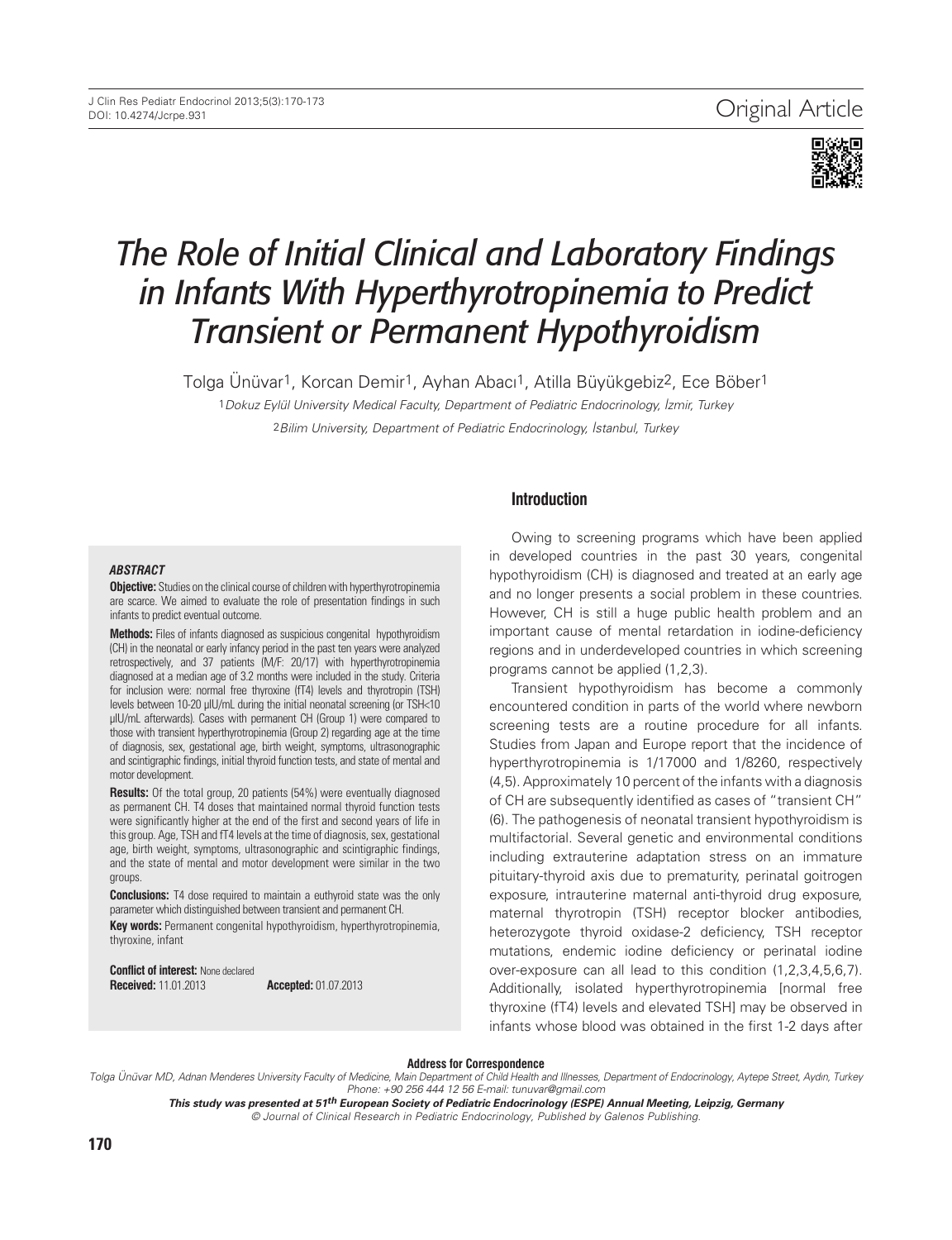

# *The Role of Initial Clinical and Laboratory Findings in Infants With Hyperthyrotropinemia to Predict Transient or Permanent Hypothyroidism*

Tolga Ünüvar1, Korcan Demir1, Ayhan Abacı1, Atilla Büyükgebiz2, Ece Böber1

1Dokuz Eylül University Medical Faculty, Department of Pediatric Endocrinology, İzmir, Turkey

2Bilim University, Department of Pediatric Endocrinology, İstanbul, Turkey

#### *ABSTRACT*

**Objective:** Studies on the clinical course of children with hyperthyrotropinemia are scarce. We aimed to evaluate the role of presentation findings in such infants to predict eventual outcome.

**Methods:** Files of infants diagnosed as suspicious congenital hypothyroidism (CH) in the neonatal or early infancy period in the past ten years were analyzed retrospectively, and 37 patients (M/F: 20/17) with hyperthyrotropinemia diagnosed at a median age of 3.2 months were included in the study. Criteria for inclusion were: normal free thyroxine (fT4) levels and thyrotropin (TSH) levels between 10-20 μIU/mL during the initial neonatal screening (or TSH<10 μIU/mL afterwards). Cases with permanent CH (Group 1) were compared to those with transient hyperthyrotropinemia (Group 2) regarding age at the time of diagnosis, sex, gestational age, birth weight, symptoms, ultrasonographic and scintigraphic findings, initial thyroid function tests, and state of mental and motor development.

**Results:** Of the total group, 20 patients (54%) were eventually diagnosed as permanent CH. T4 doses that maintained normal thyroid function tests were significantly higher at the end of the first and second years of life in this group. Age, TSH and fT4 levels at the time of diagnosis, sex, gestational age, birth weight, symptoms, ultrasonographic and scintigraphic findings, and the state of mental and motor development were similar in the two groups.

**Conclusions:** T4 dose required to maintain a euthyroid state was the only parameter which distinguished between transient and permanent CH.

**Key words:** Permanent congenital hypothyroidism, hyperthyrotropinemia, thyroxine, infant

**Conflict of interest:** None declared **Received:** 11.01.2013 **Accepted:** 01.07.2013

### **Introduction**

Owing to screening programs which have been applied in developed countries in the past 30 years, congenital hypothyroidism (CH) is diagnosed and treated at an early age and no longer presents a social problem in these countries. However, CH is still a huge public health problem and an important cause of mental retardation in iodine-deficiency regions and in underdeveloped countries in which screening programs cannot be applied (1,2,3).

Transient hypothyroidism has become a commonly encountered condition in parts of the world where newborn screening tests are a routine procedure for all infants. Studies from Japan and Europe report that the incidence of hyperthyrotropinemia is 1/17000 and 1/8260, respectively (4,5). Approximately 10 percent of the infants with a diagnosis of CH are subsequently identified as cases of "transient CH" (6). The pathogenesis of neonatal transient hypothyroidism is multifactorial. Several genetic and environmental conditions including extrauterine adaptation stress on an immature pituitary-thyroid axis due to prematurity, perinatal goitrogen exposure, intrauterine maternal anti-thyroid drug exposure, maternal thyrotropin (TSH) receptor blocker antibodies, heterozygote thyroid oxidase-2 deficiency, TSH receptor mutations, endemic iodine deficiency or perinatal iodine over-exposure can all lead to this condition (1,2,3,4,5,6,7). Additionally, isolated hyperthyrotropinemia [normal free thyroxine (fT4) levels and elevated TSH] may be observed in infants whose blood was obtained in the first 1-2 days after

#### **Address for Correspondence**

Tolga Ünüvar MD, Adnan Menderes University Faculty of Medicine, Main Department of Child Health and Illnesses, Department of Endocrinology, Aytepe Street, Aydın, Turkey Phone: +90 256 444 12 56 E-mail: tunuvar@gmail.com

**This study was presented at 51th European Society of Pediatric Endocrinology (ESPE) Annual Meeting, Leipzig, Germany** © Journal of Clinical Research in Pediatric Endocrinology, Published by Galenos Publishing.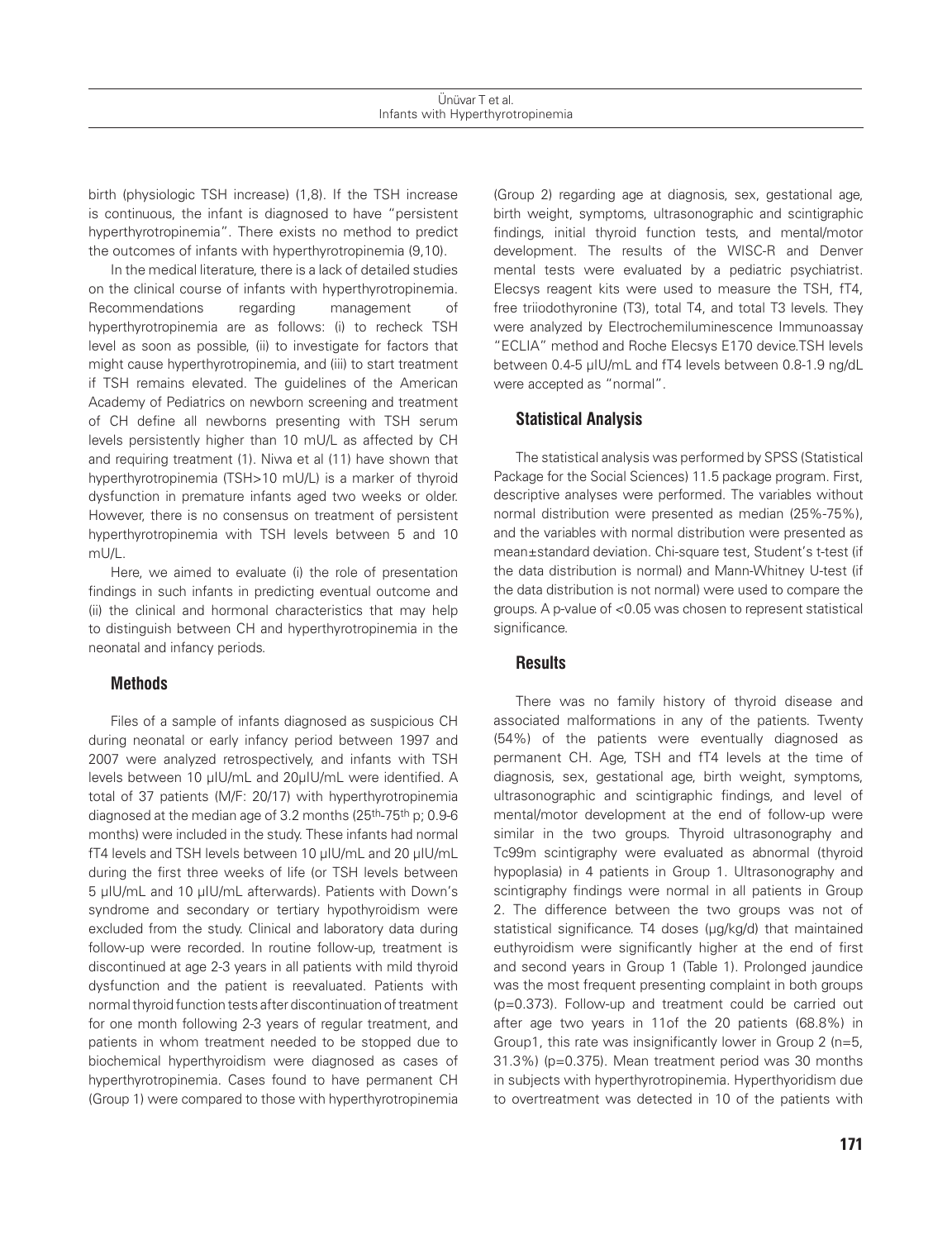birth (physiologic TSH increase) (1,8). If the TSH increase is continuous, the infant is diagnosed to have "persistent hyperthyrotropinemia". There exists no method to predict the outcomes of infants with hyperthyrotropinemia (9,10).

In the medical literature, there is a lack of detailed studies on the clinical course of infants with hyperthyrotropinemia. Recommendations regarding management of hyperthyrotropinemia are as follows: (i) to recheck TSH level as soon as possible, (ii) to investigate for factors that might cause hyperthyrotropinemia, and (iii) to start treatment if TSH remains elevated. The guidelines of the American Academy of Pediatrics on newborn screening and treatment of CH define all newborns presenting with TSH serum levels persistently higher than 10 mU/L as affected by CH and requiring treatment (1). Niwa et al (11) have shown that hyperthyrotropinemia (TSH>10 mU/L) is a marker of thyroid dysfunction in premature infants aged two weeks or older. However, there is no consensus on treatment of persistent hyperthyrotropinemia with TSH levels between 5 and 10 mU/L.

Here, we aimed to evaluate (i) the role of presentation findings in such infants in predicting eventual outcome and (ii) the clinical and hormonal characteristics that may help to distinguish between CH and hyperthyrotropinemia in the neonatal and infancy periods.

### **Methods**

Files of a sample of infants diagnosed as suspicious CH during neonatal or early infancy period between 1997 and 2007 were analyzed retrospectively, and infants with TSH levels between 10 μIU/mL and 20μIU/mL were identified. A total of 37 patients (M/F: 20/17) with hyperthyrotropinemia diagnosed at the median age of 3.2 months (25th-75th p; 0.9-6 months) were included in the study. These infants had normal fT4 levels and TSH levels between 10 μIU/mL and 20 μIU/mL during the first three weeks of life (or TSH levels between 5 μIU/mL and 10 μIU/mL afterwards). Patients with Down's syndrome and secondary or tertiary hypothyroidism were excluded from the study. Clinical and laboratory data during follow-up were recorded. In routine follow-up, treatment is discontinued at age 2-3 years in all patients with mild thyroid dysfunction and the patient is reevaluated. Patients with normal thyroid function tests after discontinuation of treatment for one month following 2-3 years of regular treatment, and patients in whom treatment needed to be stopped due to biochemical hyperthyroidism were diagnosed as cases of hyperthyrotropinemia. Cases found to have permanent CH (Group 1) were compared to those with hyperthyrotropinemia

(Group 2) regarding age at diagnosis, sex, gestational age, birth weight, symptoms, ultrasonographic and scintigraphic findings, initial thyroid function tests, and mental/motor development. The results of the WISC-R and Denver mental tests were evaluated by a pediatric psychiatrist. Elecsys reagent kits were used to measure the TSH, fT4, free triiodothyronine (T3), total T4, and total T3 levels. They were analyzed by Electrochemiluminescence Immunoassay "ECLIA" method and Roche Elecsys E170 device.TSH levels between 0.4-5 µIU/mL and fT4 levels between 0.8-1.9 ng/dL were accepted as "normal".

## **Statistical Analysis**

The statistical analysis was performed by SPSS (Statistical Package for the Social Sciences) 11.5 package program. First, descriptive analyses were performed. The variables without normal distribution were presented as median (25%-75%), and the variables with normal distribution were presented as mean±standard deviation. Chi-square test, Student's t-test (if the data distribution is normal) and Mann-Whitney U-test (if the data distribution is not normal) were used to compare the groups. A p-value of <0.05 was chosen to represent statistical significance.

### **Results**

There was no family history of thyroid disease and associated malformations in any of the patients. Twenty (54%) of the patients were eventually diagnosed as permanent CH. Age, TSH and fT4 levels at the time of diagnosis, sex, gestational age, birth weight, symptoms, ultrasonographic and scintigraphic findings, and level of mental/motor development at the end of follow-up were similar in the two groups. Thyroid ultrasonography and Tc99m scintigraphy were evaluated as abnormal (thyroid hypoplasia) in 4 patients in Group 1. Ultrasonography and scintigraphy findings were normal in all patients in Group 2. The difference between the two groups was not of statistical significance. T4 doses (μg/kg/d) that maintained euthyroidism were significantly higher at the end of first and second years in Group 1 (Table 1). Prolonged jaundice was the most frequent presenting complaint in both groups (p=0.373). Follow-up and treatment could be carried out after age two years in 11of the 20 patients (68.8%) in Group1, this rate was insignificantly lower in Group 2 (n=5, 31.3%) (p=0.375). Mean treatment period was 30 months in subjects with hyperthyrotropinemia. Hyperthyoridism due to overtreatment was detected in 10 of the patients with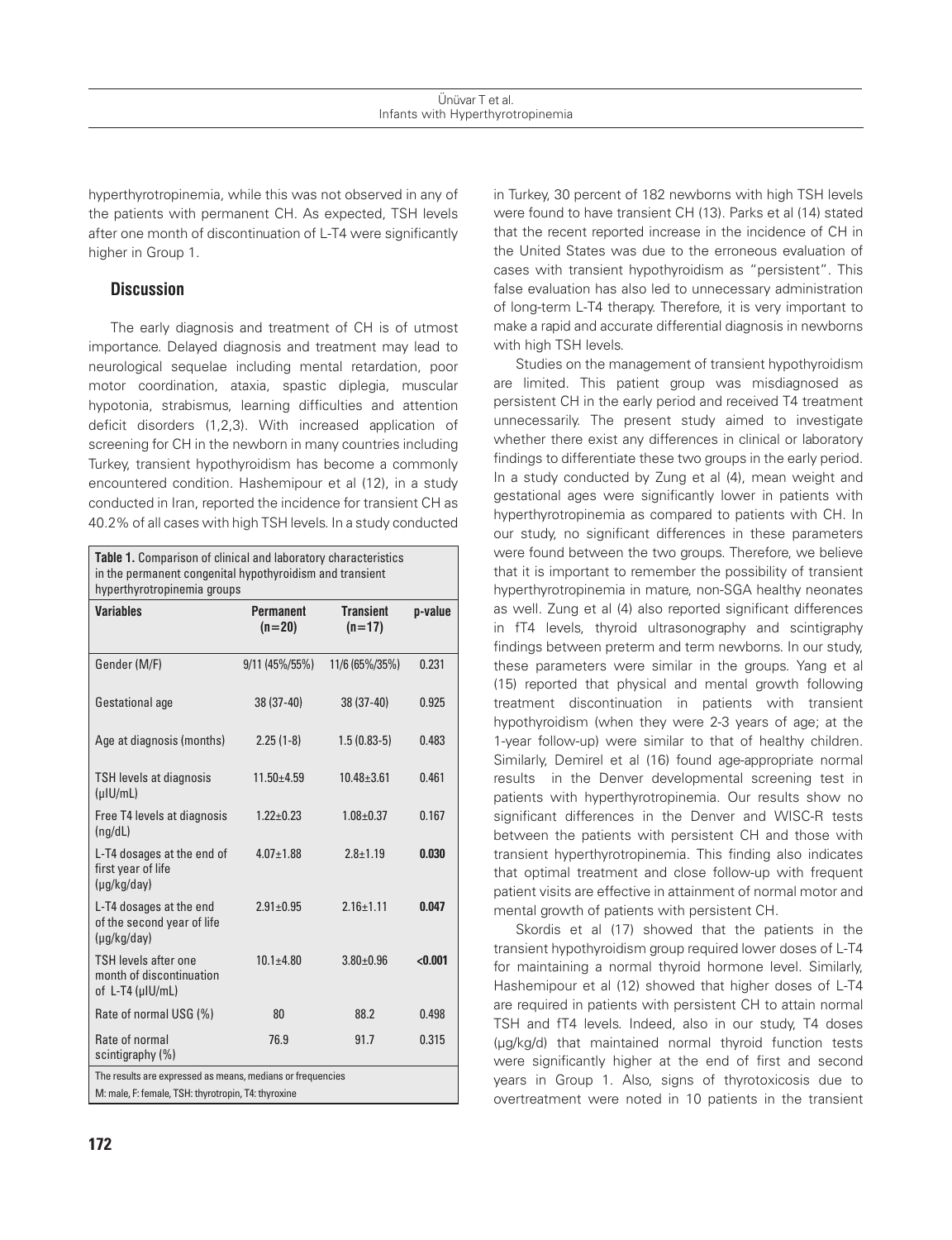hyperthyrotropinemia, while this was not observed in any of the patients with permanent CH. As expected, TSH levels after one month of discontinuation of L-T4 were significantly higher in Group 1.

## **Discussion**

The early diagnosis and treatment of CH is of utmost importance. Delayed diagnosis and treatment may lead to neurological sequelae including mental retardation, poor motor coordination, ataxia, spastic diplegia, muscular hypotonia, strabismus, learning difficulties and attention deficit disorders (1,2,3). With increased application of screening for CH in the newborn in many countries including Turkey, transient hypothyroidism has become a commonly encountered condition. Hashemipour et al (12), in a study conducted in Iran, reported the incidence for transient CH as 40.2% of all cases with high TSH levels. In a study conducted

**Table 1.** Comparison of clinical and laboratory characteristics in the permanent congenital hypothyroidism and transient hyperthyrotropinemia groups **Variables Permanent (n=20) Transient (n=17) p-value** Gender (M/F) 9/11 (45%/55%) 11/6 (65%/35%) 0.231 Gestational age 38 (37-40) 38 (37-40) 0.925 Age at diagnosis (months) 2.25 (1-8) 1.5 (0.83-5) 0.483 TSH levels at diagnosis (μIU/mL) 11.50±4.59 10.48±3.61 0.461 Free T4 levels at diagnosis (ng/dL) 1.22±0.23 1.08±0.37 0.167 L-T4 dosages at the end of first year of life (µg/kg/day) 4.07±1.88 2.8±1.19 0.030 L-T4 dosages at the end of the second year of life (µg/kg/day)  $2.91 \pm 0.95$   $2.16 \pm 1.11$  0.047 TSH levels after one month of discontinuation of L-T4 (µIU/mL)  $10.1 \pm 4.80$   $3.80 \pm 0.96$  <0.001 Rate of normal USG (%) 80 88.2 0.498 Rate of normal scintigraphy (%) 76.9 91.7 0.315 The results are expressed as means, medians or frequencies M: male, F: female, TSH: thyrotropin, T4: thyroxine

in Turkey, 30 percent of 182 newborns with high TSH levels were found to have transient CH (13). Parks et al (14) stated that the recent reported increase in the incidence of CH in the United States was due to the erroneous evaluation of cases with transient hypothyroidism as "persistent". This false evaluation has also led to unnecessary administration of long-term L-T4 therapy. Therefore, it is very important to make a rapid and accurate differential diagnosis in newborns with high TSH levels.

Studies on the management of transient hypothyroidism are limited. This patient group was misdiagnosed as persistent CH in the early period and received T4 treatment unnecessarily. The present study aimed to investigate whether there exist any differences in clinical or laboratory findings to differentiate these two groups in the early period. In a study conducted by Zung et al (4), mean weight and gestational ages were significantly lower in patients with hyperthyrotropinemia as compared to patients with CH. In our study, no significant differences in these parameters were found between the two groups. Therefore, we believe that it is important to remember the possibility of transient hyperthyrotropinemia in mature, non-SGA healthy neonates as well. Zung et al (4) also reported significant differences in fT4 levels, thyroid ultrasonography and scintigraphy findings between preterm and term newborns. In our study, these parameters were similar in the groups. Yang et al (15) reported that physical and mental growth following treatment discontinuation in patients with transient hypothyroidism (when they were 2-3 years of age; at the 1-year follow-up) were similar to that of healthy children. Similarly, Demirel et al (16) found age-appropriate normal results in the Denver developmental screening test in patients with hyperthyrotropinemia. Our results show no significant differences in the Denver and WISC-R tests between the patients with persistent CH and those with transient hyperthyrotropinemia. This finding also indicates that optimal treatment and close follow-up with frequent patient visits are effective in attainment of normal motor and mental growth of patients with persistent CH.

Skordis et al (17) showed that the patients in the transient hypothyroidism group required lower doses of L-T4 for maintaining a normal thyroid hormone level. Similarly, Hashemipour et al (12) showed that higher doses of L-T4 are required in patients with persistent CH to attain normal TSH and fT4 levels. Indeed, also in our study, T4 doses (μg/kg/d) that maintained normal thyroid function tests were significantly higher at the end of first and second years in Group 1. Also, signs of thyrotoxicosis due to overtreatment were noted in 10 patients in the transient